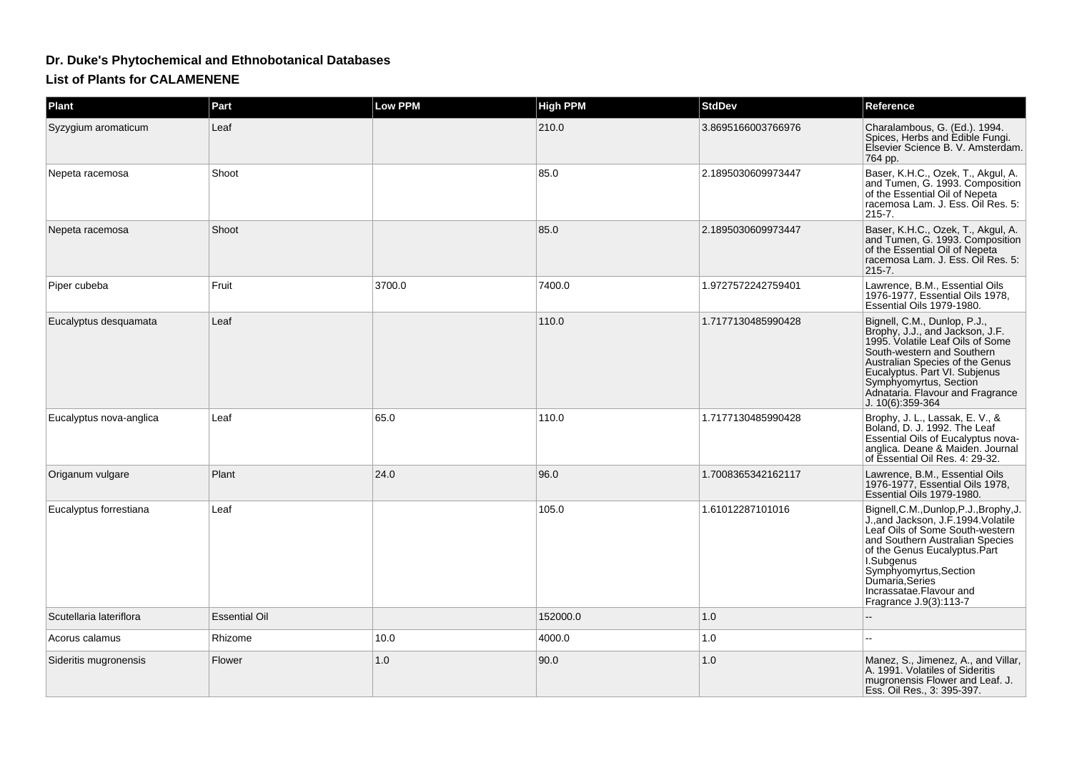## **Dr. Duke's Phytochemical and Ethnobotanical Databases**

## **List of Plants for CALAMENENE**

| Plant                   | Part                 | <b>Low PPM</b> | <b>High PPM</b> | <b>StdDev</b>      | Reference                                                                                                                                                                                                                                                                                          |
|-------------------------|----------------------|----------------|-----------------|--------------------|----------------------------------------------------------------------------------------------------------------------------------------------------------------------------------------------------------------------------------------------------------------------------------------------------|
| Syzygium aromaticum     | Leaf                 |                | 210.0           | 3.8695166003766976 | Charalambous, G. (Ed.). 1994.<br>Spices, Herbs and Edible Fungi.<br>Elsevier Science B. V. Amsterdam.<br>764 pp.                                                                                                                                                                                   |
| Nepeta racemosa         | Shoot                |                | 85.0            | 2.1895030609973447 | Baser, K.H.C., Ozek, T., Akgul, A.<br>and Tumen, G. 1993. Composition<br>of the Essential Oil of Nepeta<br>racemosa Lam. J. Ess. Oil Res. 5:<br>$215 - 7.$                                                                                                                                         |
| Nepeta racemosa         | Shoot                |                | 85.0            | 2.1895030609973447 | Baser, K.H.C., Ozek, T., Akgul, A.<br>and Tumen, G. 1993. Composition<br>of the Essential Oil of Nepeta<br>racemosa Lam. J. Ess. Oil Res. 5:<br>$215 - 7.$                                                                                                                                         |
| Piper cubeba            | Fruit                | 3700.0         | 7400.0          | 1.9727572242759401 | Lawrence, B.M., Essential Oils<br>1976-1977, Essential Oils 1978,<br>Essential Oils 1979-1980.                                                                                                                                                                                                     |
| Eucalyptus desquamata   | Leaf                 |                | 110.0           | 1.7177130485990428 | Bignell, C.M., Dunlop, P.J.,<br>Brophy, J.J., and Jackson, J.F.<br>1995. Volatile Leaf Oils of Some<br>South-western and Southern<br>Australian Species of the Genus<br>Eucalyptus. Part VI. Subjenus<br>Symphyomyrtus, Section<br>Adnataria. Flavour and Fragrance<br>J. 10(6):359-364            |
| Eucalyptus nova-anglica | Leaf                 | 65.0           | 110.0           | 1.7177130485990428 | Brophy, J. L., Lassak, E. V., &<br>Boland, D. J. 1992. The Leaf<br><b>Essential Oils of Eucalyptus nova-</b><br>anglica. Deane & Maiden. Journal<br>of Essential Oil Res. 4: 29-32.                                                                                                                |
| Origanum vulgare        | Plant                | 24.0           | 96.0            | 1.7008365342162117 | Lawrence, B.M., Essential Oils<br>1976-1977, Essential Oils 1978,<br>Essential Oils 1979-1980.                                                                                                                                                                                                     |
| Eucalyptus forrestiana  | Leaf                 |                | 105.0           | 1.61012287101016   | Bignell, C.M., Dunlop, P.J., Brophy, J.<br>J.,and Jackson, J.F.1994.Volatile<br>Leaf Oils of Some South-western<br>and Southern Australian Species<br>of the Genus Eucalyptus.Part<br>I.Subgenus<br>Symphyomyrtus, Section<br>Dumaria, Series<br>Incrassatae.Flavour and<br>Fragrance J.9(3):113-7 |
| Scutellaria lateriflora | <b>Essential Oil</b> |                | 152000.0        | 1.0                |                                                                                                                                                                                                                                                                                                    |
| Acorus calamus          | Rhizome              | 10.0           | 4000.0          | 1.0                |                                                                                                                                                                                                                                                                                                    |
| Sideritis mugronensis   | Flower               | 1.0            | 90.0            | 1.0                | Manez, S., Jimenez, A., and Villar,<br>A. 1991. Volatiles of Sideritis<br>mugronensis Flower and Leaf. J.<br>Ess. Oil Res., 3: 395-397.                                                                                                                                                            |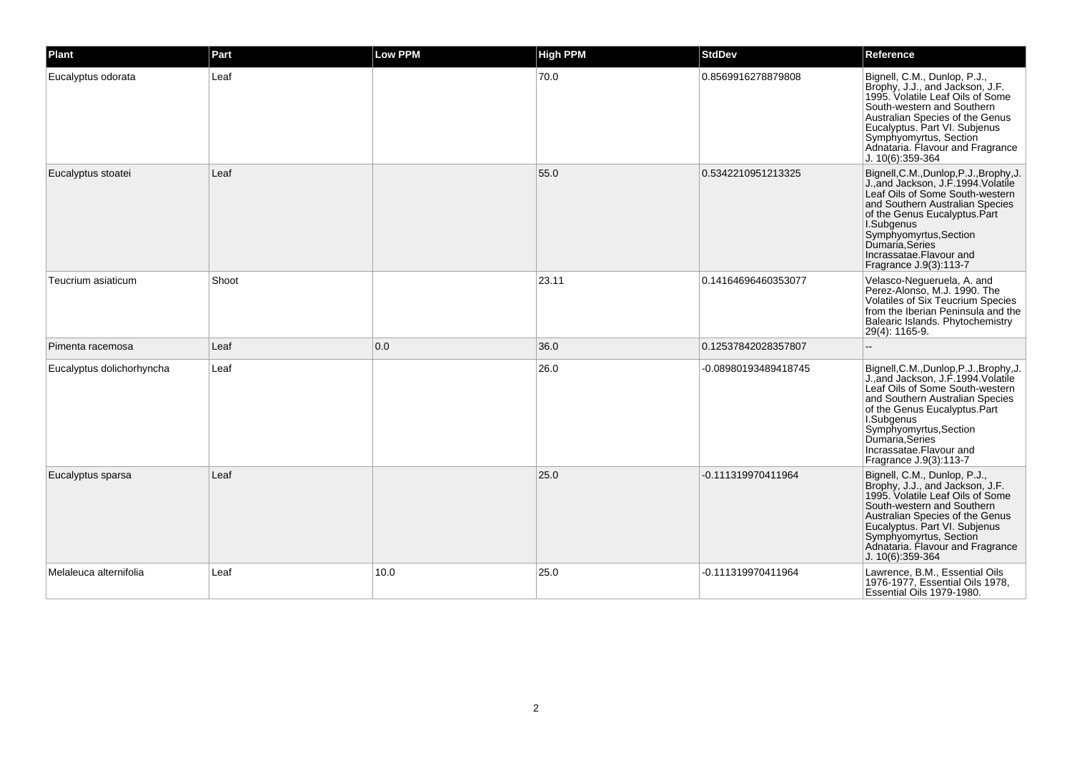| Plant                     | Part  | <b>Low PPM</b> | <b>High PPM</b> | <b>StdDev</b>        | Reference                                                                                                                                                                                                                                                                                             |
|---------------------------|-------|----------------|-----------------|----------------------|-------------------------------------------------------------------------------------------------------------------------------------------------------------------------------------------------------------------------------------------------------------------------------------------------------|
| Eucalyptus odorata        | Leaf  |                | 70.0            | 0.8569916278879808   | Bignell, C.M., Dunlop, P.J.,<br>Brophy, J.J., and Jackson, J.F.<br>1995. Volatile Leaf Oils of Some<br>South-western and Southern<br>Australian Species of the Genus<br>Eucalyptus. Part VI. Subjenus<br>Symphyomyrtus, Section<br>Adnataria. Flavour and Fragrance<br>J. 10(6):359-364               |
| Eucalyptus stoatei        | Leaf  |                | 55.0            | 0.5342210951213325   | Bignell, C.M., Dunlop, P.J., Brophy, J.<br>J., and Jackson, J.F. 1994. Volatile<br>Leaf Oils of Some South-western<br>and Southern Australian Species<br>of the Genus Eucalyptus.Part<br>I.Subgenus<br>Symphyomyrtus, Section<br>Dumaría, Series<br>Incrassatae.Flavour and<br>Fragrance J.9(3):113-7 |
| Teucrium asiaticum        | Shoot |                | 23.11           | 0.14164696460353077  | Velasco-Negueruela, A. and<br>Perez-Alonso, M.J. 1990. The<br>Volatiles of Six Teucrium Species<br>from the Iberian Peninsula and the<br>Balearic Islands. Phytochemistry<br>29(4): 1165-9.                                                                                                           |
| Pimenta racemosa          | Leaf  | 0.0            | 36.0            | 0.12537842028357807  |                                                                                                                                                                                                                                                                                                       |
| Eucalyptus dolichorhyncha | Leaf  |                | 26.0            | -0.08980193489418745 | Bignell, C.M., Dunlop, P.J., Brophy, J.<br>J., and Jackson, J.F. 1994. Volatile<br>Leaf Oils of Some South-western<br>and Southern Australian Species<br>of the Genus Eucalyptus.Part<br>I.Subgenus<br>Symphyomyrtus, Section<br>Dumaria, Series<br>Incrassatae.Flavour and<br>Fragrance J.9(3):113-7 |
| Eucalyptus sparsa         | Leaf  |                | 25.0            | -0.111319970411964   | Bignell, C.M., Dunlop, P.J.,<br>Brophy, J.J., and Jackson, J.F.<br>1995. Volatile Leaf Oils of Some<br>South-western and Southern<br>Australian Species of the Genus<br>Eucalyptus. Part VI. Subjenus<br>Symphyomyrtus, Section<br>Adnataria. Flavour and Fragrance<br>J. 10(6):359-364               |
| Melaleuca alternifolia    | Leaf  | 10.0           | 25.0            | -0.111319970411964   | Lawrence, B.M., Essential Oils<br>1976-1977, Essential Oils 1978,<br>Essential Oils 1979-1980.                                                                                                                                                                                                        |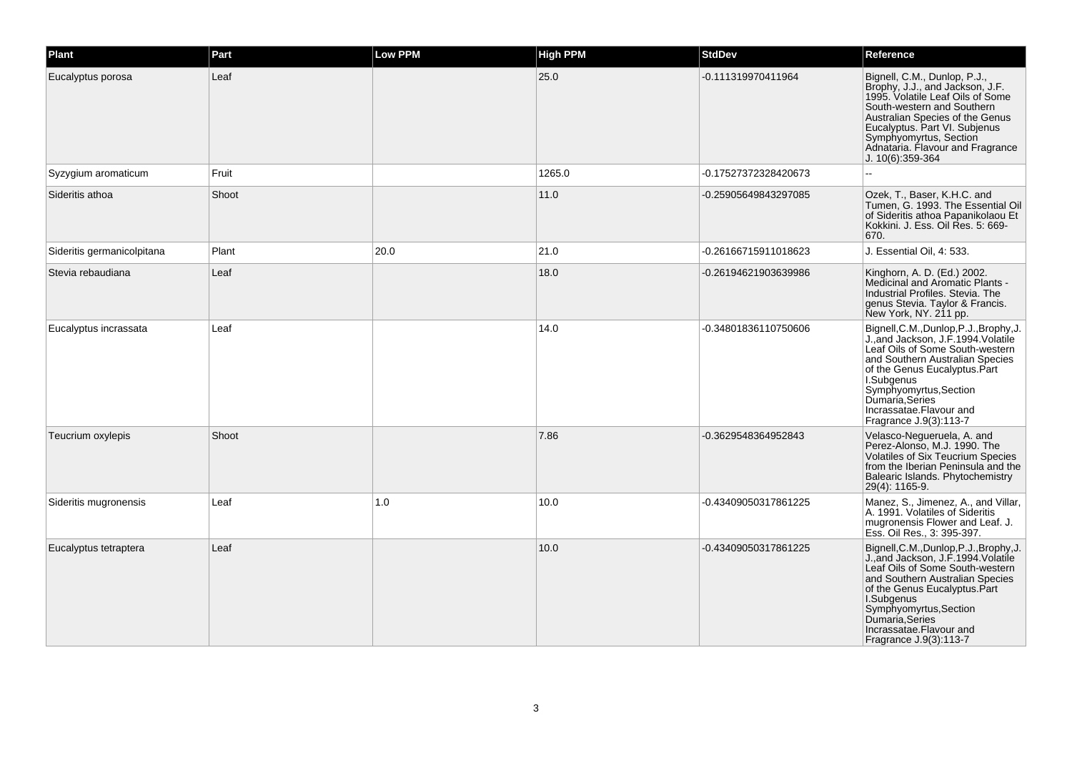| Plant                      | Part  | <b>Low PPM</b> | <b>High PPM</b> | <b>StdDev</b>        | Reference                                                                                                                                                                                                                                                                                             |
|----------------------------|-------|----------------|-----------------|----------------------|-------------------------------------------------------------------------------------------------------------------------------------------------------------------------------------------------------------------------------------------------------------------------------------------------------|
| Eucalyptus porosa          | Leaf  |                | 25.0            | -0.111319970411964   | Bignell, C.M., Dunlop, P.J.,<br>Brophy, J.J., and Jackson, J.F.<br>1995. Volatile Leaf Oils of Some<br>South-western and Southern<br>Australian Species of the Genus<br>Eucalyptus. Part VI. Subjenus<br>Symphyomyrtus, Section<br>Adnataria. Flavour and Fragrance<br>J. 10(6):359-364               |
| Syzygium aromaticum        | Fruit |                | 1265.0          | -0.17527372328420673 | ωú.                                                                                                                                                                                                                                                                                                   |
| Sideritis athoa            | Shoot |                | 11.0            | -0.25905649843297085 | Ozek, T., Baser, K.H.C. and<br>Tumen, G. 1993. The Essential Oil<br>of Sideritis athoa Papanikolaou Et<br>Kokkini. J. Ess. Oil Res. 5: 669-<br>670.                                                                                                                                                   |
| Sideritis germanicolpitana | Plant | 20.0           | 21.0            | -0.26166715911018623 | J. Essential Oil, 4: 533.                                                                                                                                                                                                                                                                             |
| Stevia rebaudiana          | Leaf  |                | 18.0            | -0.26194621903639986 | Kinghorn, A. D. (Ed.) 2002.<br>Medicinal and Aromatic Plants -<br>Industrial Profiles, Stevia, The<br>genus Stevia. Taylor & Francis.<br>New York, NY. 211 pp.                                                                                                                                        |
| Eucalyptus incrassata      | Leaf  |                | 14.0            | -0.34801836110750606 | Bignell, C.M., Dunlop, P.J., Brophy, J.<br>J., and Jackson, J.F. 1994. Volatile<br>Leaf Oils of Some South-western<br>and Southern Australian Species<br>of the Genus Eucalyptus.Part<br>I.Subgenus<br>Symphyomyrtus, Section<br>Dumaria, Series<br>Incrassatae.Flavour and<br>Fragrance J.9(3):113-7 |
| Teucrium oxylepis          | Shoot |                | 7.86            | -0.3629548364952843  | Velasco-Negueruela, A. and<br>Perez-Alonso, M.J. 1990. The<br>Volatiles of Six Teucrium Species<br>from the Iberian Peninsula and the<br>Balearic Islands. Phytochemistry<br>29(4): 1165-9.                                                                                                           |
| Sideritis mugronensis      | Leaf  | 1.0            | 10.0            | -0.43409050317861225 | Manez, S., Jimenez, A., and Villar,<br>A. 1991. Volatiles of Sideritis<br>mugronensis Flower and Leaf. J.<br>Ess. Oil Res., 3: 395-397.                                                                                                                                                               |
| Eucalyptus tetraptera      | Leaf  |                | 10.0            | -0.43409050317861225 | Bignell, C.M., Dunlop, P.J., Brophy, J.<br>J., and Jackson, J.F. 1994. Volatile<br>Leaf Oils of Some South-western<br>and Southern Australian Species<br>of the Genus Eucalyptus.Part<br>I.Subgenus<br>Symphyomyrtus, Section<br>Dumaria, Series<br>Incrassatae.Flavour and<br>Fragrance J.9(3):113-7 |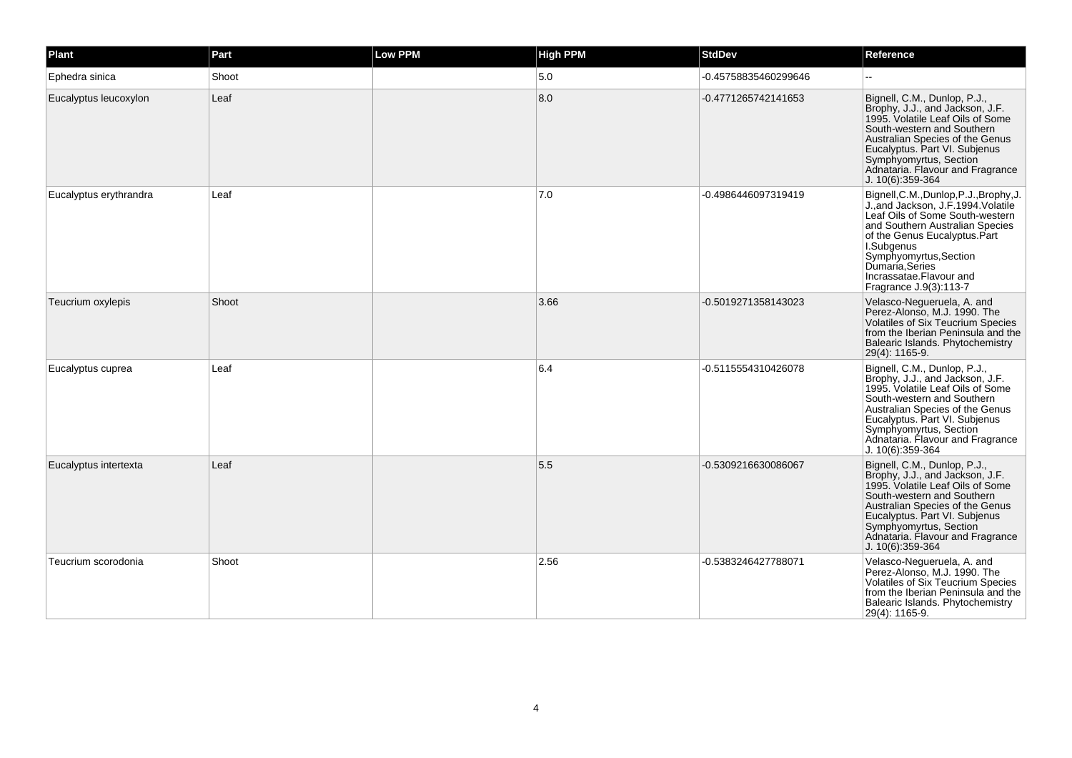| <b>Plant</b>           | Part  | <b>Low PPM</b> | <b>High PPM</b> | <b>StdDev</b>        | Reference                                                                                                                                                                                                                                                                                            |
|------------------------|-------|----------------|-----------------|----------------------|------------------------------------------------------------------------------------------------------------------------------------------------------------------------------------------------------------------------------------------------------------------------------------------------------|
| Ephedra sinica         | Shoot |                | 5.0             | -0.45758835460299646 |                                                                                                                                                                                                                                                                                                      |
| Eucalyptus leucoxylon  | Leaf  |                | 8.0             | -0.4771265742141653  | Bignell, C.M., Dunlop, P.J.,<br>Brophy, J.J., and Jackson, J.F.<br>1995. Volatile Leaf Oils of Some<br>South-western and Southern<br>Australian Species of the Genus<br>Eucalyptus. Part VI. Subjenus<br>Symphyomyrtus, Section<br>Adnataria. Flavour and Fragrance<br>$J. 10(6)$ :359-364           |
| Eucalyptus erythrandra | Leaf  |                | 7.0             | -0.4986446097319419  | Bignell, C.M., Dunlop, P.J., Brophy, J.<br>J., and Jackson, J.F. 1994. Volatile<br>Leaf Oils of Some South-western<br>and Southern Australian Species<br>of the Genus Eucalyptus.Part<br>I.Subgenus<br>Symphyomyrtus, Section<br>Dumaría Series<br>Incrassatae.Flavour and<br>Fragrance J.9(3):113-7 |
| Teucrium oxylepis      | Shoot |                | 3.66            | -0.5019271358143023  | Velasco-Negueruela, A. and<br>Perez-Alonso, M.J. 1990. The<br>Volatiles of Six Teucrium Species<br>from the Iberian Peninsula and the<br>Balearic Islands. Phytochemistry<br>29(4): 1165-9.                                                                                                          |
| Eucalyptus cuprea      | Leaf  |                | 6.4             | -0.5115554310426078  | Bignell, C.M., Dunlop, P.J.,<br>Brophy, J.J., and Jackson, J.F.<br>1995. Volatile Leaf Oils of Some<br>South-western and Southern<br>Australian Species of the Genus<br>Eucalyptus. Part VI. Subjenus<br>Symphyomyrtus, Section<br>Adnataria. Flavour and Fragrance<br>J. 10(6):359-364              |
| Eucalyptus intertexta  | Leaf  |                | 5.5             | -0.5309216630086067  | Bignell, C.M., Dunlop, P.J.,<br>Brophy, J.J., and Jackson, J.F.<br>1995. Volatile Leaf Oils of Some<br>South-western and Southern<br>Australian Species of the Genus<br>Eucalyptus. Part VI. Subjenus<br>Symphyomyrtus, Section<br>Adnataria. Flavour and Fragrance<br>$J. 10(6):359-364$            |
| Teucrium scorodonia    | Shoot |                | 2.56            | -0.5383246427788071  | Velasco-Nequeruela, A. and<br>Perez-Alonso, M.J. 1990. The<br>Volatiles of Six Teucrium Species<br>from the Iberian Peninsula and the<br>Balearic Islands. Phytochemistry<br>29(4): 1165-9.                                                                                                          |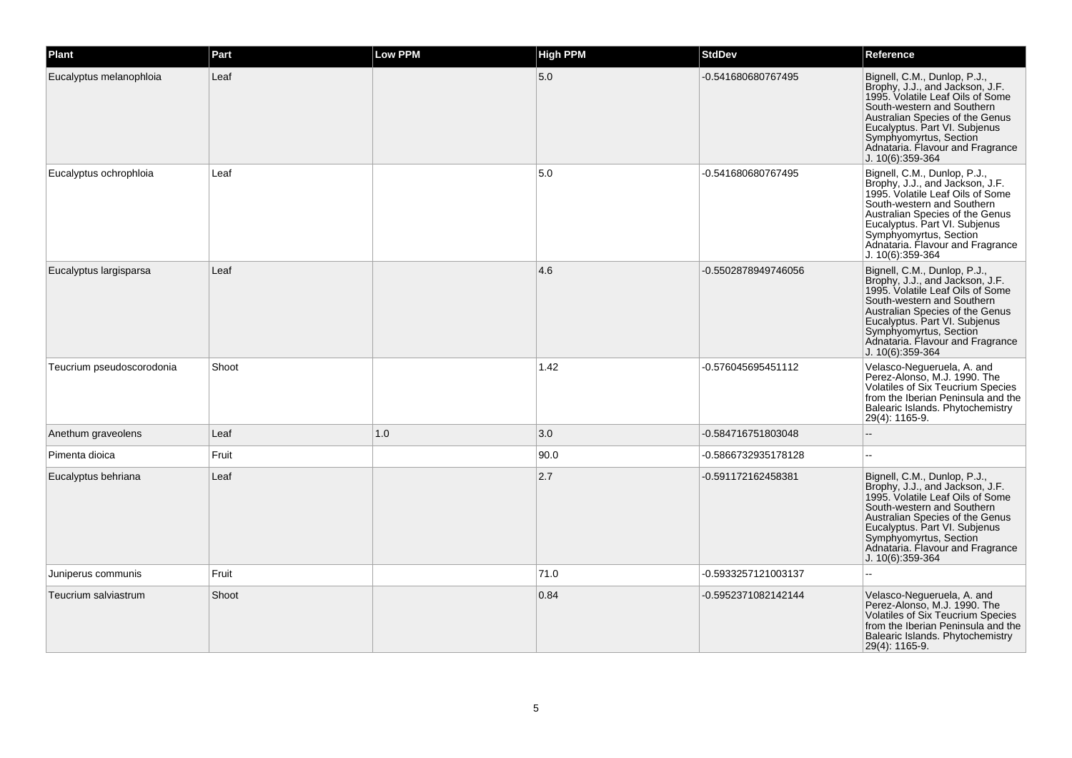| Plant                     | Part  | Low PPM | <b>High PPM</b> | <b>StdDev</b>       | Reference                                                                                                                                                                                                                                                                               |
|---------------------------|-------|---------|-----------------|---------------------|-----------------------------------------------------------------------------------------------------------------------------------------------------------------------------------------------------------------------------------------------------------------------------------------|
| Eucalyptus melanophloia   | Leaf  |         | 5.0             | -0.541680680767495  | Bignell, C.M., Dunlop, P.J.,<br>Brophy, J.J., and Jackson, J.F.<br>1995. Volatile Leaf Oils of Some<br>South-western and Southern<br>Australian Species of the Genus<br>Eucalyptus. Part VI. Subjenus<br>Symphyomyrtus, Section<br>Adnataria. Flavour and Fragrance<br>J. 10(6):359-364 |
| Eucalyptus ochrophloia    | Leaf  |         | 5.0             | -0.541680680767495  | Bignell, C.M., Dunlop, P.J.,<br>Brophy, J.J., and Jackson, J.F.<br>1995. Volatile Leaf Oils of Some<br>South-western and Southern<br>Australian Species of the Genus<br>Eucalyptus. Part VI. Subjenus<br>Symphyomyrtus, Section<br>Adnataria. Flavour and Fragrance<br>J. 10(6):359-364 |
| Eucalyptus largisparsa    | Leaf  |         | 4.6             | -0.5502878949746056 | Bignell, C.M., Dunlop, P.J.,<br>Brophy, J.J., and Jackson, J.F.<br>1995. Volatile Leaf Oils of Some<br>South-western and Southern<br>Australian Species of the Genus<br>Eucalyptus. Part VI. Subjenus<br>Symphyomyrtus, Section<br>Adnataria. Flavour and Fragrance<br>J. 10(6):359-364 |
| Teucrium pseudoscorodonia | Shoot |         | 1.42            | -0.576045695451112  | Velasco-Negueruela, A. and<br>Perez-Alonso, M.J. 1990. The<br>Volatiles of Six Teucrium Species<br>from the Iberian Peninsula and the<br>Balearic Islands. Phytochemistry<br>29(4): 1165-9.                                                                                             |
| Anethum graveolens        | Leaf  | 1.0     | 3.0             | -0.584716751803048  |                                                                                                                                                                                                                                                                                         |
| Pimenta dioica            | Fruit |         | 90.0            | -0.5866732935178128 | ż.                                                                                                                                                                                                                                                                                      |
| Eucalyptus behriana       | Leaf  |         | 2.7             | -0.591172162458381  | Bignell, C.M., Dunlop, P.J.,<br>Brophy, J.J., and Jackson, J.F.<br>1995. Volatile Leaf Oils of Some<br>South-western and Southern<br>Australian Species of the Genus<br>Eucalyptus. Part VI. Subjenus<br>Symphyomyrtus, Section<br>Adnataria. Flavour and Fragrance<br>J. 10(6):359-364 |
| Juniperus communis        | Fruit |         | 71.0            | -0.5933257121003137 | a.                                                                                                                                                                                                                                                                                      |
| Teucrium salviastrum      | Shoot |         | 0.84            | -0.5952371082142144 | Velasco-Negueruela, A. and<br>Perez-Alonso, M.J. 1990. The<br>Volatiles of Six Teucrium Species<br>from the Iberian Peninsula and the<br>Balearic Islands. Phytochemistry<br>29(4): 1165-9.                                                                                             |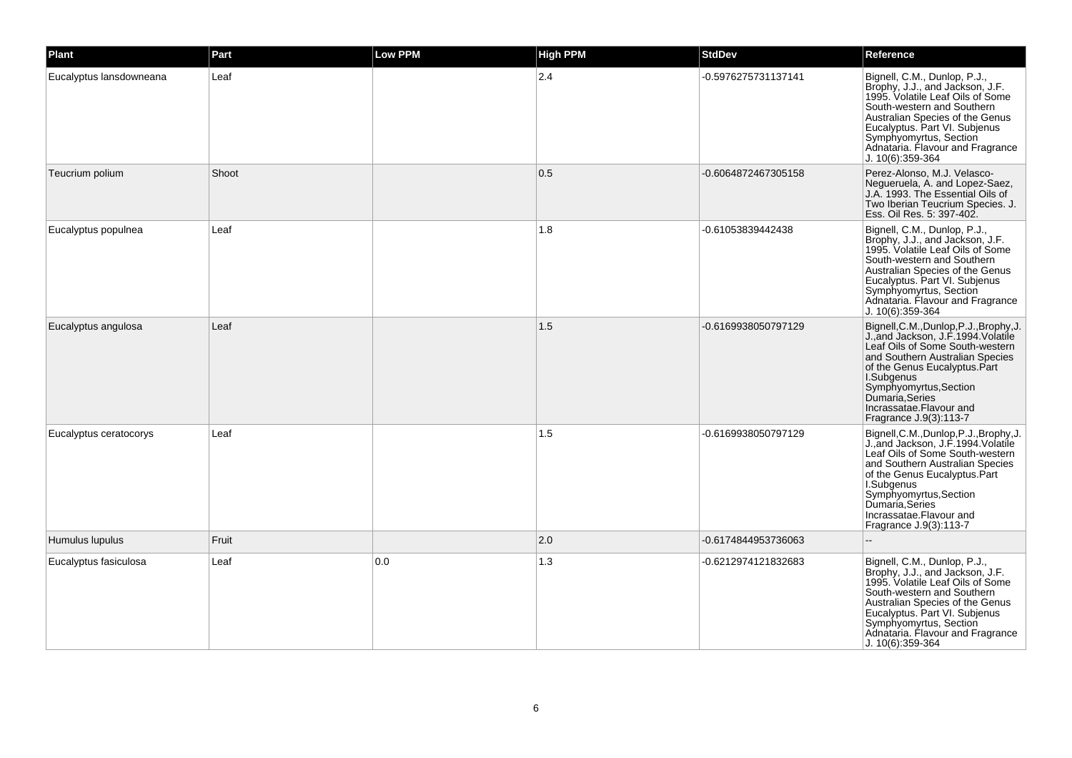| Plant                   | Part  | <b>Low PPM</b> | <b>High PPM</b> | <b>StdDev</b>       | Reference                                                                                                                                                                                                                                                                                             |
|-------------------------|-------|----------------|-----------------|---------------------|-------------------------------------------------------------------------------------------------------------------------------------------------------------------------------------------------------------------------------------------------------------------------------------------------------|
| Eucalyptus lansdowneana | Leaf  |                | 2.4             | -0.5976275731137141 | Bignell, C.M., Dunlop, P.J.,<br>Brophy, J.J., and Jackson, J.F.<br>1995. Volatile Leaf Oils of Some<br>South-western and Southern<br>Australian Species of the Genus<br>Eucalyptus. Part VI. Subjenus<br>Symphyomyrtus, Section<br>Adnataria. Flavour and Fragrance<br>$J. 10(6):359-364$             |
| Teucrium polium         | Shoot |                | 0.5             | -0.6064872467305158 | Perez-Alonso, M.J. Velasco-<br>Negueruela, A. and Lopez-Saez,<br>J.A. 1993. The Essential Oils of<br>Two Iberian Teucrium Species. J.<br>Ess. Oil Res. 5: 397-402.                                                                                                                                    |
| Eucalyptus populnea     | Leaf  |                | 1.8             | -0.61053839442438   | Bignell, C.M., Dunlop, P.J.,<br>Brophy, J.J., and Jackson, J.F.<br>1995. Volatile Leaf Oils of Some<br>South-western and Southern<br>Australian Species of the Genus<br>Eucalyptus. Part VI. Subjenus<br>Symphyomyrtus, Section<br>Adnataria. Flavour and Fragrance<br>J. 10(6):359-364               |
| Eucalyptus angulosa     | Leaf  |                | 1.5             | -0.6169938050797129 | Bignell, C.M., Dunlop, P.J., Brophy, J.<br>J. and Jackson, J.F. 1994. Volatile<br>Leaf Oils of Some South-western<br>and Southern Australian Species<br>of the Genus Eucalyptus.Part<br>I.Subgenus<br>Symphyomyrtus, Section<br>Dumaria, Series<br>Incrassatae.Flavour and<br>Fragrance J.9(3):113-7  |
| Eucalyptus ceratocorys  | Leaf  |                | 1.5             | -0.6169938050797129 | Bignell, C.M., Dunlop, P.J., Brophy, J.<br>J., and Jackson, J.F. 1994. Volatile<br>Leaf Oils of Some South-western<br>and Southern Australian Species<br>of the Genus Eucalyptus.Part<br>I.Subgenus<br>Symphyomyrtus, Section<br>Dumaría Series<br>Incrassatae. Flavour and<br>Fragrance J.9(3):113-7 |
| Humulus lupulus         | Fruit |                | $ 2.0\rangle$   | -0.6174844953736063 |                                                                                                                                                                                                                                                                                                       |
| Eucalyptus fasiculosa   | Leaf  | 0.0            | 1.3             | -0.6212974121832683 | Bignell, C.M., Dunlop, P.J.,<br>Brophy, J.J., and Jackson, J.F.<br>1995. Volatile Leaf Oils of Some<br>South-western and Southern<br>Australian Species of the Genus<br>Eucalyptus. Part VI. Subjenus<br>Symphyomyrtus, Section<br>Adnataria. Flavour and Fragrance<br>J. 10(6):359-364               |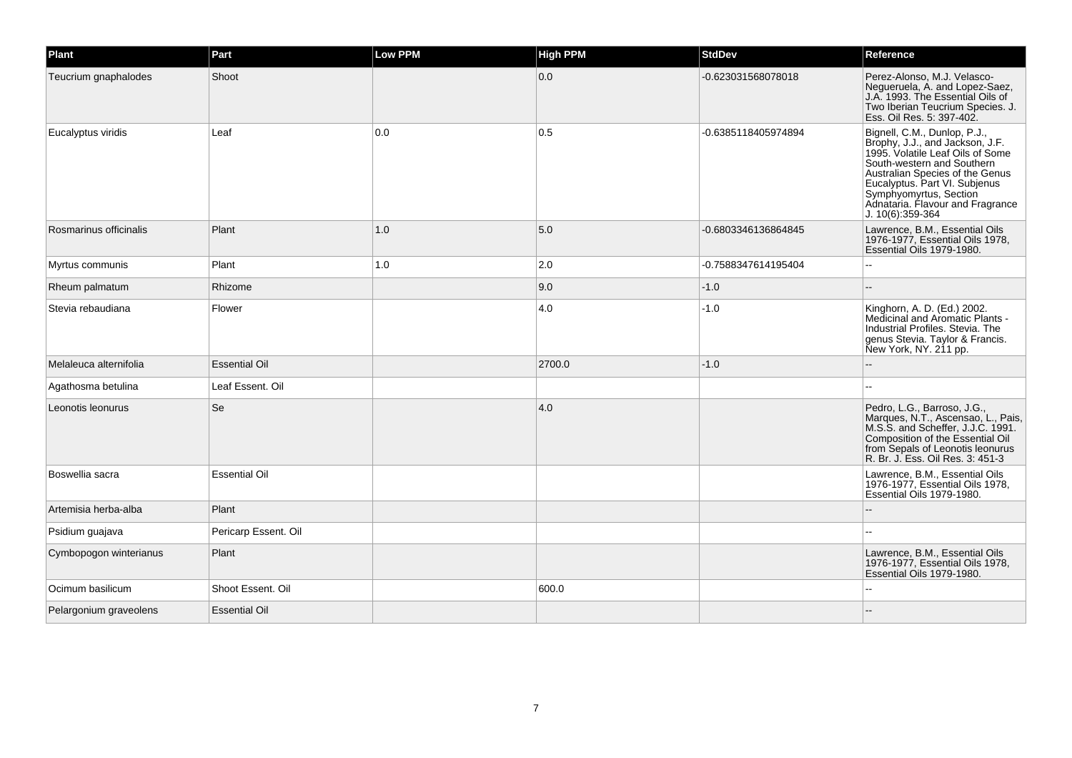| Plant                  | Part                 | Low PPM | <b>High PPM</b> | <b>StdDev</b>       | Reference                                                                                                                                                                                                                                                                               |
|------------------------|----------------------|---------|-----------------|---------------------|-----------------------------------------------------------------------------------------------------------------------------------------------------------------------------------------------------------------------------------------------------------------------------------------|
| Teucrium gnaphalodes   | Shoot                |         | 0.0             | -0.623031568078018  | Perez-Alonso, M.J. Velasco-<br>Negueruela, A. and Lopez-Saez,<br>J.A. 1993. The Essential Oils of<br>Two Iberian Teucrium Species. J.<br>Ess. Oil Res. 5: 397-402.                                                                                                                      |
| Eucalyptus viridis     | Leaf                 | 0.0     | 0.5             | -0.6385118405974894 | Bignell, C.M., Dunlop, P.J.,<br>Brophy, J.J., and Jackson, J.F.<br>1995. Volatile Leaf Oils of Some<br>South-western and Southern<br>Australian Species of the Genus<br>Eucalyptus. Part VI. Subjenus<br>Symphyomyrtus, Section<br>Adnataria. Flavour and Fragrance<br>J. 10(6):359-364 |
| Rosmarinus officinalis | Plant                | 1.0     | 5.0             | -0.6803346136864845 | Lawrence, B.M., Essential Oils<br>1976-1977, Essential Oils 1978,<br>Essential Oils 1979-1980.                                                                                                                                                                                          |
| Myrtus communis        | Plant                | 1.0     | $ 2.0\rangle$   | -0.7588347614195404 |                                                                                                                                                                                                                                                                                         |
| Rheum palmatum         | Rhizome              |         | 9.0             | $-1.0$              |                                                                                                                                                                                                                                                                                         |
| Stevia rebaudiana      | Flower               |         | 4.0             | $-1.0$              | Kinghorn, A. D. (Ed.) 2002.<br>Medicinal and Aromatic Plants -<br>Industrial Profiles. Stevia. The<br>genus Stevia. Taylor & Francis.<br>New York, NY. 211 pp.                                                                                                                          |
| Melaleuca alternifolia | <b>Essential Oil</b> |         | 2700.0          | $-1.0$              |                                                                                                                                                                                                                                                                                         |
| Agathosma betulina     | Leaf Essent. Oil     |         |                 |                     | --                                                                                                                                                                                                                                                                                      |
| Leonotis leonurus      | Se                   |         | $ 4.0\rangle$   |                     | Pedro, L.G., Barroso, J.G.,<br>Marques, N.T., Ascensao, L., Pais,<br>M.S.S. and Scheffer, J.J.C. 1991.<br>Composition of the Essential Oil<br>from Sepals of Leonotis leonurus<br>R. Br. J. Ess. Oil Res. 3: 451-3                                                                      |
| Boswellia sacra        | <b>Essential Oil</b> |         |                 |                     | Lawrence, B.M., Essential Oils<br>1976-1977, Essential Oils 1978,<br>Essential Oils 1979-1980.                                                                                                                                                                                          |
| Artemisia herba-alba   | Plant                |         |                 |                     |                                                                                                                                                                                                                                                                                         |
| Psidium guajava        | Pericarp Essent. Oil |         |                 |                     |                                                                                                                                                                                                                                                                                         |
| Cymbopogon winterianus | Plant                |         |                 |                     | Lawrence, B.M., Essential Oils<br>1976-1977. Essential Oils 1978.<br>Essential Oils 1979-1980.                                                                                                                                                                                          |
| Ocimum basilicum       | Shoot Essent, Oil    |         | 600.0           |                     |                                                                                                                                                                                                                                                                                         |
| Pelargonium graveolens | <b>Essential Oil</b> |         |                 |                     |                                                                                                                                                                                                                                                                                         |